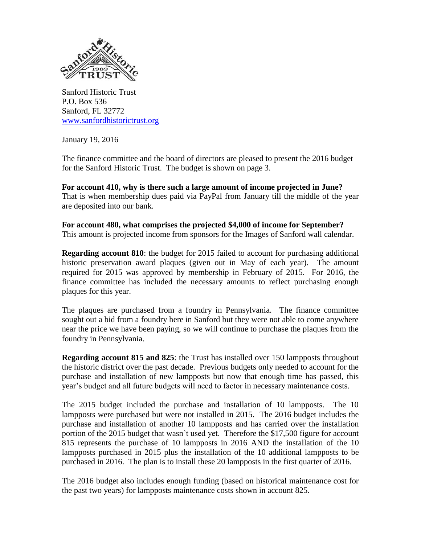

Sanford Historic Trust P.O. Box 536 Sanford, FL 32772 [www.sanfordhistorictrust.org](http://www.sanfordhistorictrust.org/)

January 19, 2016

The finance committee and the board of directors are pleased to present the 2016 budget for the Sanford Historic Trust. The budget is shown on page 3.

**For account 410, why is there such a large amount of income projected in June?**  That is when membership dues paid via PayPal from January till the middle of the year are deposited into our bank.

**For account 480, what comprises the projected \$4,000 of income for September?** This amount is projected income from sponsors for the Images of Sanford wall calendar.

**Regarding account 810**: the budget for 2015 failed to account for purchasing additional historic preservation award plaques (given out in May of each year). The amount required for 2015 was approved by membership in February of 2015. For 2016, the finance committee has included the necessary amounts to reflect purchasing enough plaques for this year.

The plaques are purchased from a foundry in Pennsylvania. The finance committee sought out a bid from a foundry here in Sanford but they were not able to come anywhere near the price we have been paying, so we will continue to purchase the plaques from the foundry in Pennsylvania.

**Regarding account 815 and 825**: the Trust has installed over 150 lampposts throughout the historic district over the past decade. Previous budgets only needed to account for the purchase and installation of new lampposts but now that enough time has passed, this year's budget and all future budgets will need to factor in necessary maintenance costs.

The 2015 budget included the purchase and installation of 10 lampposts. The 10 lampposts were purchased but were not installed in 2015. The 2016 budget includes the purchase and installation of another 10 lampposts and has carried over the installation portion of the 2015 budget that wasn't used yet. Therefore the \$17,500 figure for account 815 represents the purchase of 10 lampposts in 2016 AND the installation of the 10 lampposts purchased in 2015 plus the installation of the 10 additional lampposts to be purchased in 2016. The plan is to install these 20 lampposts in the first quarter of 2016.

The 2016 budget also includes enough funding (based on historical maintenance cost for the past two years) for lampposts maintenance costs shown in account 825.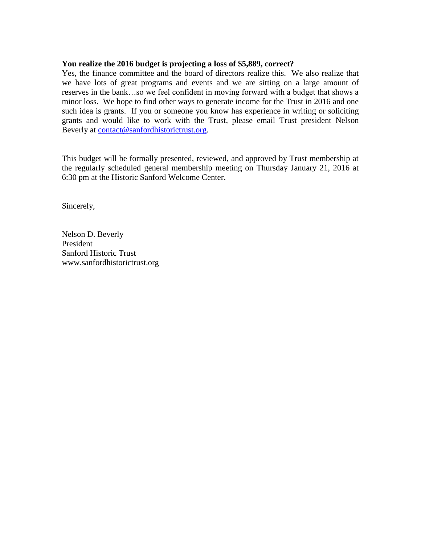## **You realize the 2016 budget is projecting a loss of \$5,889, correct?**

Yes, the finance committee and the board of directors realize this. We also realize that we have lots of great programs and events and we are sitting on a large amount of reserves in the bank…so we feel confident in moving forward with a budget that shows a minor loss. We hope to find other ways to generate income for the Trust in 2016 and one such idea is grants. If you or someone you know has experience in writing or soliciting grants and would like to work with the Trust, please email Trust president Nelson Beverly at [contact@sanfordhistorictrust.org.](mailto:contact@sanfordhistorictrust.org)

This budget will be formally presented, reviewed, and approved by Trust membership at the regularly scheduled general membership meeting on Thursday January 21, 2016 at 6:30 pm at the Historic Sanford Welcome Center.

Sincerely,

Nelson D. Beverly President Sanford Historic Trust www.sanfordhistorictrust.org